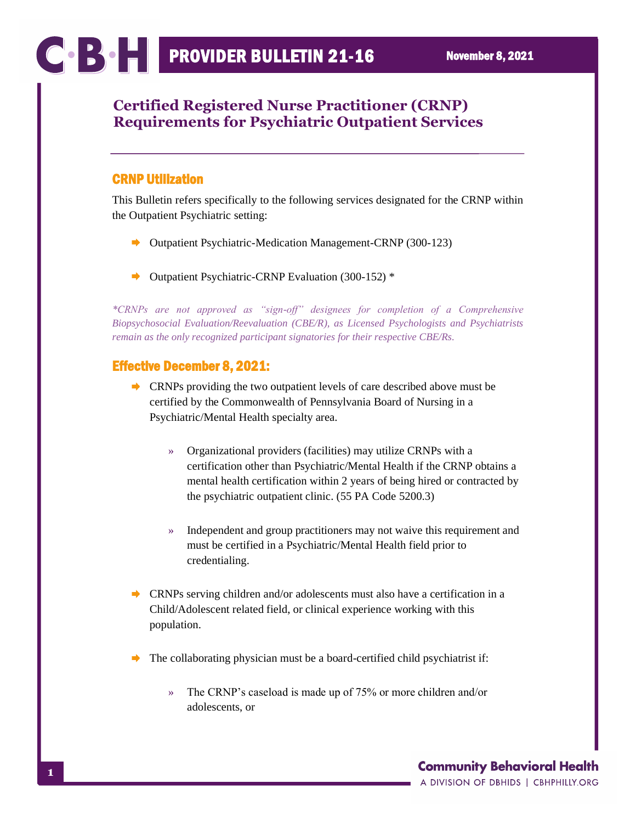## **Certified Registered Nurse Practitioner (CRNP) Requirements for Psychiatric Outpatient Services**

## CRNP Utilization

This Bulletin refers specifically to the following services designated for the CRNP within the Outpatient Psychiatric setting:

- **►** Outpatient Psychiatric-Medication Management-CRNP (300-123)
- ∙ Outpatient Psychiatric-CRNP Evaluation (300-152) \*

*\*CRNPs are not approved as "sign-off" designees for completion of a Comprehensive Biopsychosocial Evaluation/Reevaluation (CBE/R), as Licensed Psychologists and Psychiatrists remain as the only recognized participant signatories for their respective CBE/Rs.*

## Effective December 8, 2021:

- CRNPs providing the two outpatient levels of care described above must be certified by the Commonwealth of Pennsylvania Board of Nursing in a Psychiatric/Mental Health specialty area.
	- » Organizational providers (facilities) may utilize CRNPs with a certification other than Psychiatric/Mental Health if the CRNP obtains a mental health certification within 2 years of being hired or contracted by the psychiatric outpatient clinic. (55 PA Code 5200.3)
	- » Independent and group practitioners may not waive this requirement and must be certified in a Psychiatric/Mental Health field prior to credentialing.
- $\blacktriangleright$  CRNPs serving children and/or adolescents must also have a certification in a Child/Adolescent related field, or clinical experience working with this population.
- The collaborating physician must be a board-certified child psychiatrist if:
	- » The CRNP's caseload is made up of 75% or more children and/or adolescents, or